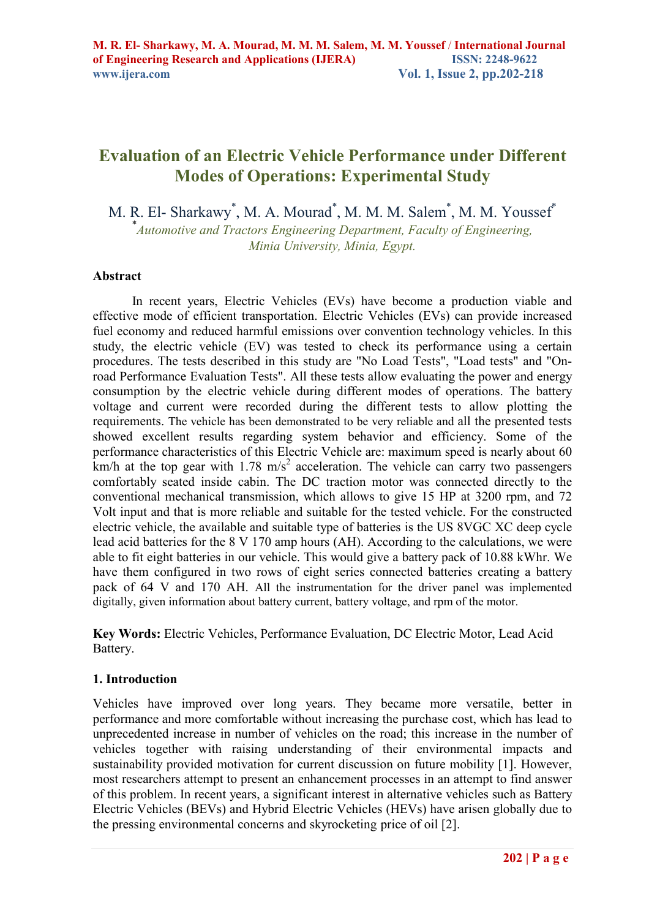# **Evaluation of an Electric Vehicle Performance under Different Modes of Operations: Experimental Study**

M. R. El- Sharkawy<sup>\*</sup>, M. A. Mourad<sup>\*</sup>, M. M. M. Salem<sup>\*</sup>, M. M. Youssef<sup>\*</sup>

\* *Automotive and Tractors Engineering Department, Faculty of Engineering, Minia University, Minia, Egypt.* 

### **Abstract**

In recent years, Electric Vehicles (EVs) have become a production viable and effective mode of efficient transportation. Electric Vehicles (EVs) can provide increased fuel economy and reduced harmful emissions over convention technology vehicles. In this study, the electric vehicle (EV) was tested to check its performance using a certain procedures. The tests described in this study are "No Load Tests", "Load tests" and "Onroad Performance Evaluation Tests". All these tests allow evaluating the power and energy consumption by the electric vehicle during different modes of operations. The battery voltage and current were recorded during the different tests to allow plotting the requirements. The vehicle has been demonstrated to be very reliable and all the presented tests showed excellent results regarding system behavior and efficiency. Some of the performance characteristics of this Electric Vehicle are: maximum speed is nearly about 60  $km/h$  at the top gear with 1.78 m/s<sup>2</sup> acceleration. The vehicle can carry two passengers comfortably seated inside cabin. The DC traction motor was connected directly to the conventional mechanical transmission, which allows to give 15 HP at 3200 rpm, and 72 Volt input and that is more reliable and suitable for the tested vehicle. For the constructed electric vehicle, the available and suitable type of batteries is the US 8VGC XC deep cycle lead acid batteries for the 8 V 170 amp hours (AH). According to the calculations, we were able to fit eight batteries in our vehicle. This would give a battery pack of 10.88 kWhr. We have them configured in two rows of eight series connected batteries creating a battery pack of 64 V and 170 AH. All the instrumentation for the driver panel was implemented digitally, given information about battery current, battery voltage, and rpm of the motor.

**Key Words:** Electric Vehicles, Performance Evaluation, DC Electric Motor, Lead Acid Battery.

# **1. Introduction**

Vehicles have improved over long years. They became more versatile, better in performance and more comfortable without increasing the purchase cost, which has lead to unprecedented increase in number of vehicles on the road; this increase in the number of vehicles together with raising understanding of their environmental impacts and sustainability provided motivation for current discussion on future mobility [1]. However, most researchers attempt to present an enhancement processes in an attempt to find answer of this problem. In recent years, a significant interest in alternative vehicles such as Battery Electric Vehicles (BEVs) and Hybrid Electric Vehicles (HEVs) have arisen globally due to the pressing environmental concerns and skyrocketing price of oil [2].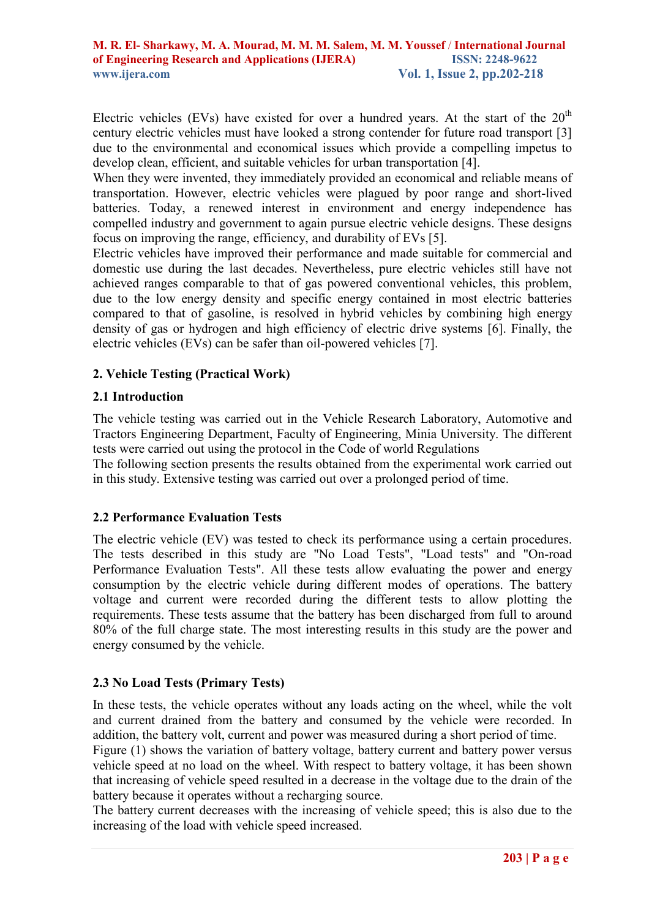Electric vehicles (EVs) have existed for over a hundred years. At the start of the  $20<sup>th</sup>$ century electric vehicles must have looked a strong contender for future road transport [3] due to the environmental and economical issues which provide a compelling impetus to develop clean, efficient, and suitable vehicles for urban transportation [4].

When they were invented, they immediately provided an economical and reliable means of transportation. However, electric vehicles were plagued by poor range and short-lived batteries. Today, a renewed interest in environment and energy independence has compelled industry and government to again pursue electric vehicle designs. These designs focus on improving the range, efficiency, and durability of EVs [5].

Electric vehicles have improved their performance and made suitable for commercial and domestic use during the last decades. Nevertheless, pure electric vehicles still have not achieved ranges comparable to that of gas powered conventional vehicles, this problem, due to the low energy density and specific energy contained in most electric batteries compared to that of gasoline, is resolved in hybrid vehicles by combining high energy density of gas or hydrogen and high efficiency of electric drive systems [6]. Finally, the electric vehicles (EVs) can be safer than oil-powered vehicles [7].

# **2. Vehicle Testing (Practical Work)**

### **2.1 Introduction**

The vehicle testing was carried out in the Vehicle Research Laboratory, Automotive and Tractors Engineering Department, Faculty of Engineering, Minia University. The different tests were carried out using the protocol in the Code of world Regulations

The following section presents the results obtained from the experimental work carried out in this study. Extensive testing was carried out over a prolonged period of time.

# **2.2 Performance Evaluation Tests**

The electric vehicle (EV) was tested to check its performance using a certain procedures. The tests described in this study are "No Load Tests", "Load tests" and "On-road Performance Evaluation Tests". All these tests allow evaluating the power and energy consumption by the electric vehicle during different modes of operations. The battery voltage and current were recorded during the different tests to allow plotting the requirements. These tests assume that the battery has been discharged from full to around 80% of the full charge state. The most interesting results in this study are the power and energy consumed by the vehicle.

# **2.3 No Load Tests (Primary Tests)**

In these tests, the vehicle operates without any loads acting on the wheel, while the volt and current drained from the battery and consumed by the vehicle were recorded. In addition, the battery volt, current and power was measured during a short period of time.

Figure (1) shows the variation of battery voltage, battery current and battery power versus vehicle speed at no load on the wheel. With respect to battery voltage, it has been shown that increasing of vehicle speed resulted in a decrease in the voltage due to the drain of the battery because it operates without a recharging source.

The battery current decreases with the increasing of vehicle speed; this is also due to the increasing of the load with vehicle speed increased.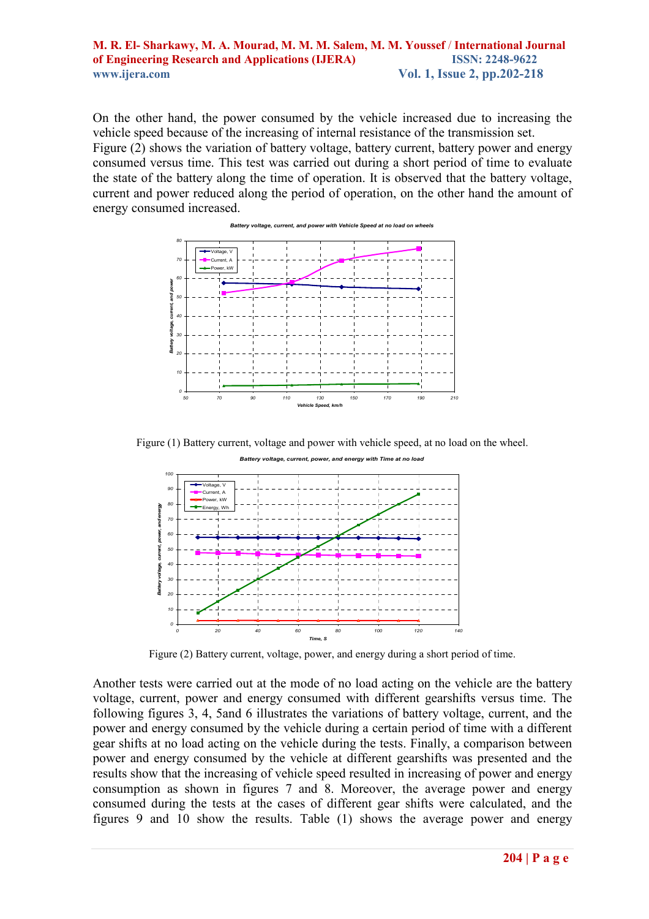On the other hand, the power consumed by the vehicle increased due to increasing the vehicle speed because of the increasing of internal resistance of the transmission set. Figure (2) shows the variation of battery voltage, battery current, battery power and energy consumed versus time. This test was carried out during a short period of time to evaluate the state of the battery along the time of operation. It is observed that the battery voltage, current and power reduced along the period of operation, on the other hand the amount of energy consumed increased.



Figure (1) Battery current, voltage and power with vehicle speed, at no load on the wheel.



Figure (2) Battery current, voltage, power, and energy during a short period of time.

Another tests were carried out at the mode of no load acting on the vehicle are the battery voltage, current, power and energy consumed with different gearshifts versus time. The following figures 3, 4, 5and 6 illustrates the variations of battery voltage, current, and the power and energy consumed by the vehicle during a certain period of time with a different gear shifts at no load acting on the vehicle during the tests. Finally, a comparison between power and energy consumed by the vehicle at different gearshifts was presented and the results show that the increasing of vehicle speed resulted in increasing of power and energy consumption as shown in figures 7 and 8. Moreover, the average power and energy consumed during the tests at the cases of different gear shifts were calculated, and the figures 9 and 10 show the results. Table (1) shows the average power and energy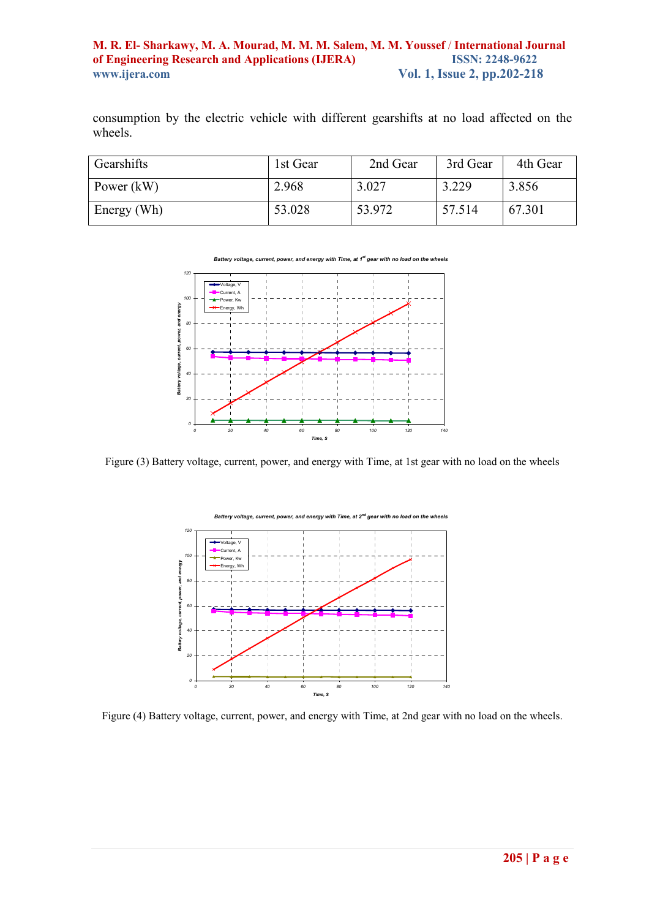consumption by the electric vehicle with different gearshifts at no load affected on the wheels.

| Gearshifts   | 1st Gear | 2nd Gear | 3rd Gear | 4th Gear |
|--------------|----------|----------|----------|----------|
| Power $(kW)$ | 2.968    | 3.027    | 3.229    | 3.856    |
| Energy (Wh)  | 53.028   | 53.972   | 57.514   | 67.301   |

*Battery voltage, current, power, and energy with Time, at 1st gear with no load on the wheels*



Figure (3) Battery voltage, current, power, and energy with Time, at 1st gear with no load on the wheels



Figure (4) Battery voltage, current, power, and energy with Time, at 2nd gear with no load on the wheels.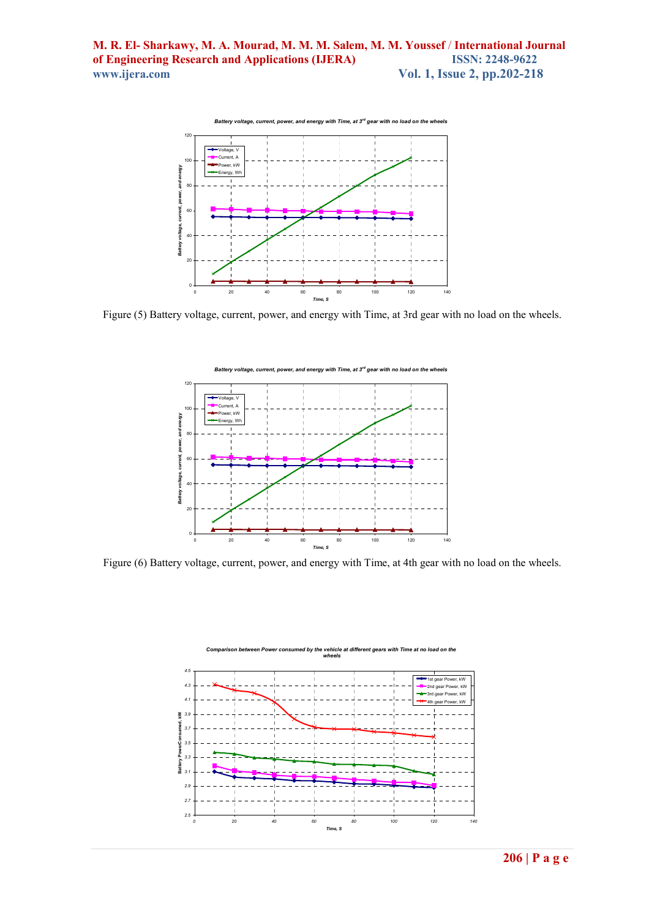

Figure (5) Battery voltage, current, power, and energy with Time, at 3rd gear with no load on the wheels.



Figure (6) Battery voltage, current, power, and energy with Time, at 4th gear with no load on the wheels.

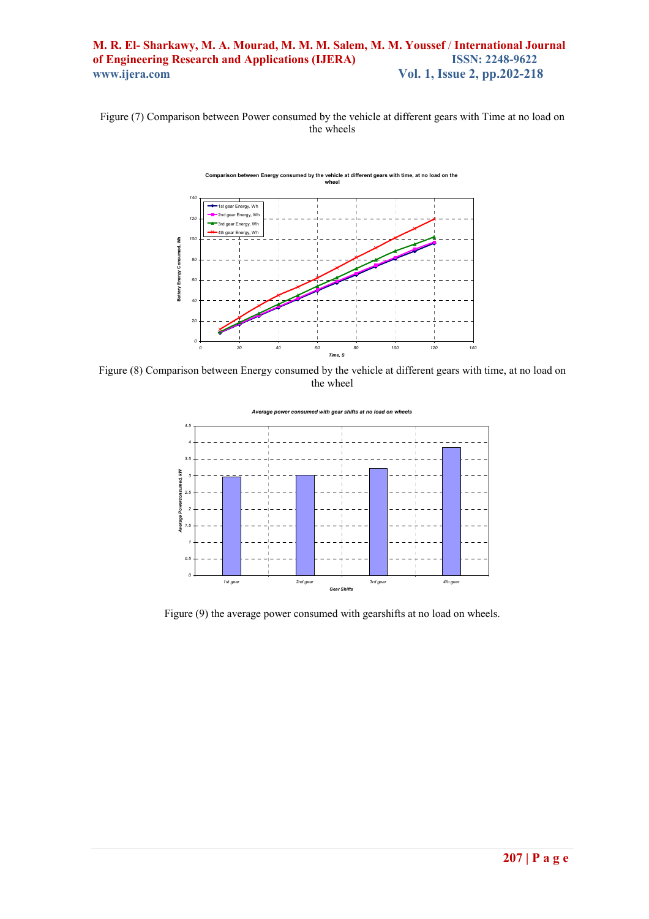Figure (7) Comparison between Power consumed by the vehicle at different gears with Time at no load on the wheels

**Comparison between Energy consumed by the vehicle at different gears with time, at no load on the** 

**wheel** *140* \* 1st gear Energy, Wh 2nd gear Energy, Wh *120* 3rd gear Energy, Wh 4th gear Energy, Wh Battery Energy Consumed, Wh  **Battery Energy Consumed, Wh** *100 80 60 40 20 0 0 20 40 60 80 100 120 140 Time, S*

Figure (8) Comparison between Energy consumed by the vehicle at different gears with time, at no load on the wheel



Figure (9) the average power consumed with gearshifts at no load on wheels.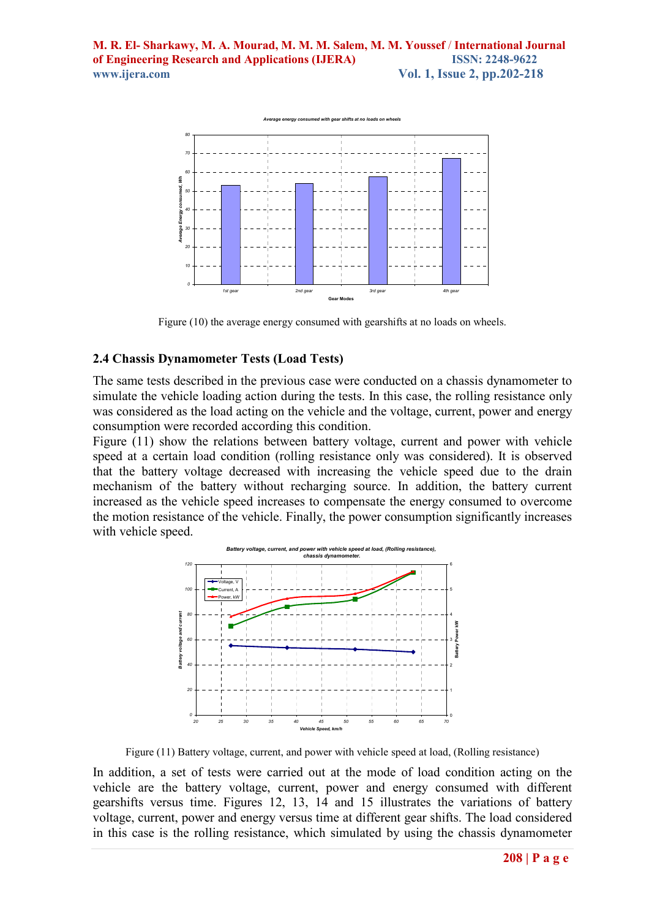

Figure (10) the average energy consumed with gearshifts at no loads on wheels.

# **2.4 Chassis Dynamometer Tests (Load Tests)**

The same tests described in the previous case were conducted on a chassis dynamometer to simulate the vehicle loading action during the tests. In this case, the rolling resistance only was considered as the load acting on the vehicle and the voltage, current, power and energy consumption were recorded according this condition.

Figure (11) show the relations between battery voltage, current and power with vehicle speed at a certain load condition (rolling resistance only was considered). It is observed that the battery voltage decreased with increasing the vehicle speed due to the drain mechanism of the battery without recharging source. In addition, the battery current increased as the vehicle speed increases to compensate the energy consumed to overcome the motion resistance of the vehicle. Finally, the power consumption significantly increases with vehicle speed.



Figure (11) Battery voltage, current, and power with vehicle speed at load, (Rolling resistance)

In addition, a set of tests were carried out at the mode of load condition acting on the vehicle are the battery voltage, current, power and energy consumed with different gearshifts versus time. Figures 12, 13, 14 and 15 illustrates the variations of battery voltage, current, power and energy versus time at different gear shifts. The load considered in this case is the rolling resistance, which simulated by using the chassis dynamometer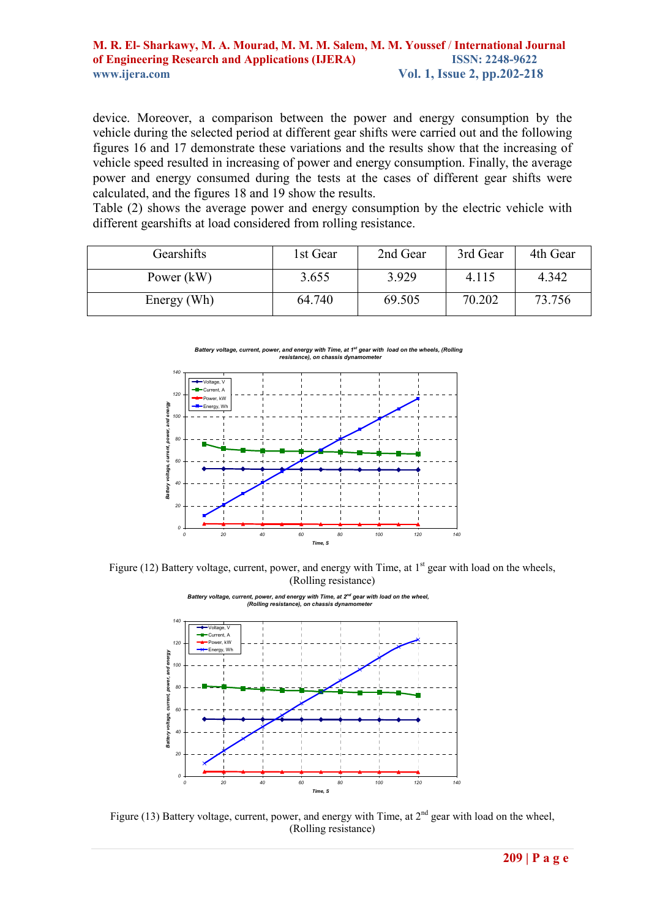device. Moreover, a comparison between the power and energy consumption by the vehicle during the selected period at different gear shifts were carried out and the following figures 16 and 17 demonstrate these variations and the results show that the increasing of vehicle speed resulted in increasing of power and energy consumption. Finally, the average power and energy consumed during the tests at the cases of different gear shifts were calculated, and the figures 18 and 19 show the results.

Table (2) shows the average power and energy consumption by the electric vehicle with different gearshifts at load considered from rolling resistance.

| Gearshifts   | 1st Gear | 2nd Gear | 3rd Gear | 4th Gear |
|--------------|----------|----------|----------|----------|
| Power $(kW)$ | 3.655    | 3.929    | 4.115    | 4.342    |
| Energy (Wh)  | 64.740   | 69.505   | 70.202   | 73.756   |

*Battery voltage, current, power, and energy with Time, at 1st gear with load on the wheels, (Rolling resistance), on chassis dynamometer*



Figure (12) Battery voltage, current, power, and energy with Time, at 1<sup>st</sup> gear with load on the wheels, (Rolling resistance)



*Battery voltage, current, power, and energy with Time, at 2nd gear with load on the wheel,* 

Figure (13) Battery voltage, current, power, and energy with Time, at  $2<sup>nd</sup>$  gear with load on the wheel, (Rolling resistance)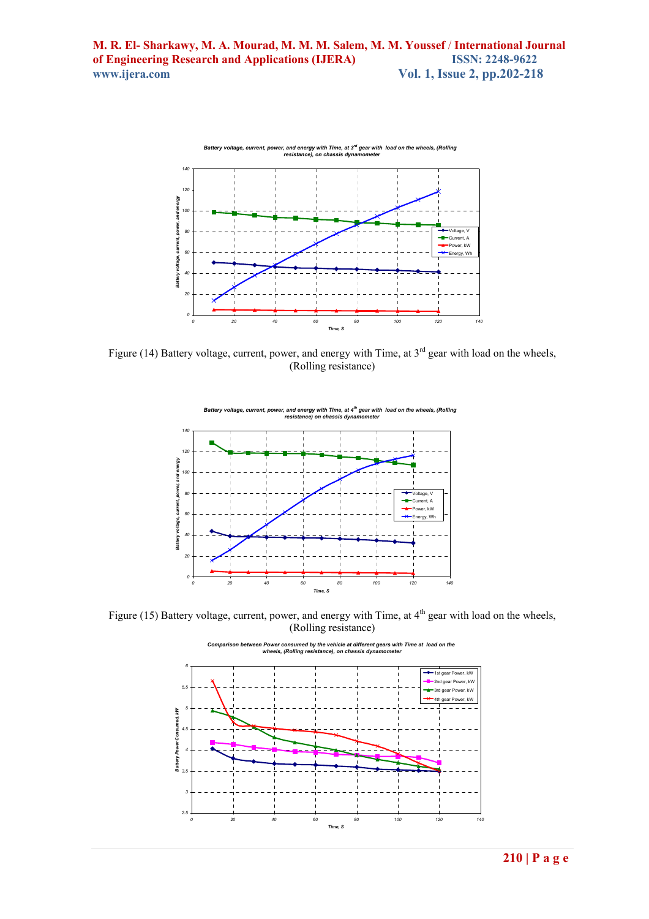

Figure (14) Battery voltage, current, power, and energy with Time, at  $3<sup>rd</sup>$  gear with load on the wheels, (Rolling resistance)



Figure (15) Battery voltage, current, power, and energy with Time, at  $4<sup>th</sup>$  gear with load on the wheels, (Rolling resistance)

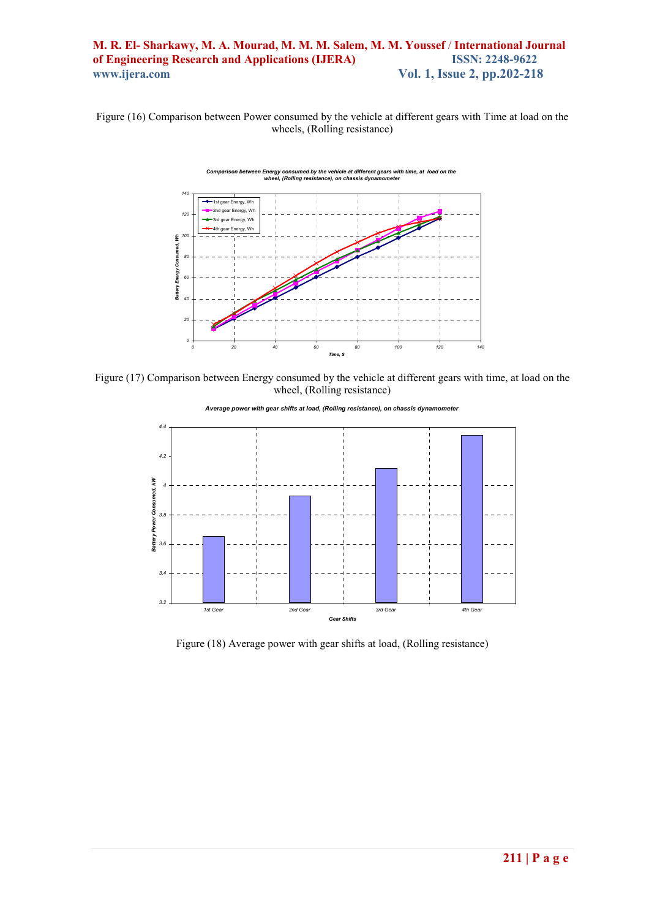Figure (16) Comparison between Power consumed by the vehicle at different gears with Time at load on the wheels, (Rolling resistance)



Figure (17) Comparison between Energy consumed by the vehicle at different gears with time, at load on the wheel, (Rolling resistance)



*Average power with gear shifts at load, (Rolling resistance), on chassis dynamometer*

Figure (18) Average power with gear shifts at load, (Rolling resistance)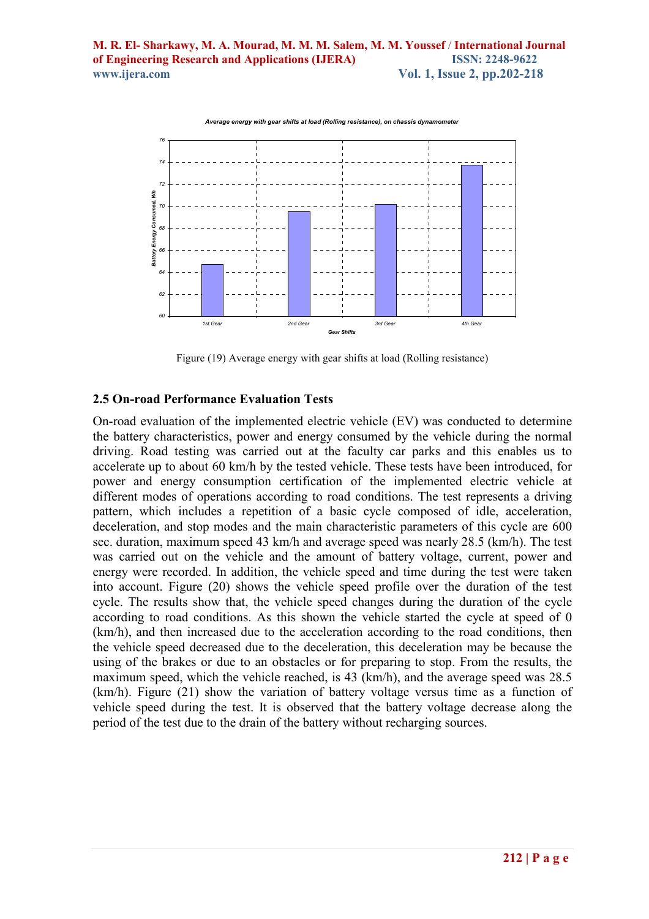

Average energy with gear shifts at load (Rolling resistance), on chassis dynam

Figure (19) Average energy with gear shifts at load (Rolling resistance)

#### **2.5 On-road Performance Evaluation Tests**

On-road evaluation of the implemented electric vehicle (EV) was conducted to determine the battery characteristics, power and energy consumed by the vehicle during the normal driving. Road testing was carried out at the faculty car parks and this enables us to accelerate up to about 60 km/h by the tested vehicle. These tests have been introduced, for power and energy consumption certification of the implemented electric vehicle at different modes of operations according to road conditions. The test represents a driving pattern, which includes a repetition of a basic cycle composed of idle, acceleration, deceleration, and stop modes and the main characteristic parameters of this cycle are 600 sec. duration, maximum speed 43 km/h and average speed was nearly 28.5 (km/h). The test was carried out on the vehicle and the amount of battery voltage, current, power and energy were recorded. In addition, the vehicle speed and time during the test were taken into account. Figure (20) shows the vehicle speed profile over the duration of the test cycle. The results show that, the vehicle speed changes during the duration of the cycle according to road conditions. As this shown the vehicle started the cycle at speed of 0 (km/h), and then increased due to the acceleration according to the road conditions, then the vehicle speed decreased due to the deceleration, this deceleration may be because the using of the brakes or due to an obstacles or for preparing to stop. From the results, the maximum speed, which the vehicle reached, is 43 (km/h), and the average speed was 28.5 (km/h). Figure (21) show the variation of battery voltage versus time as a function of vehicle speed during the test. It is observed that the battery voltage decrease along the period of the test due to the drain of the battery without recharging sources.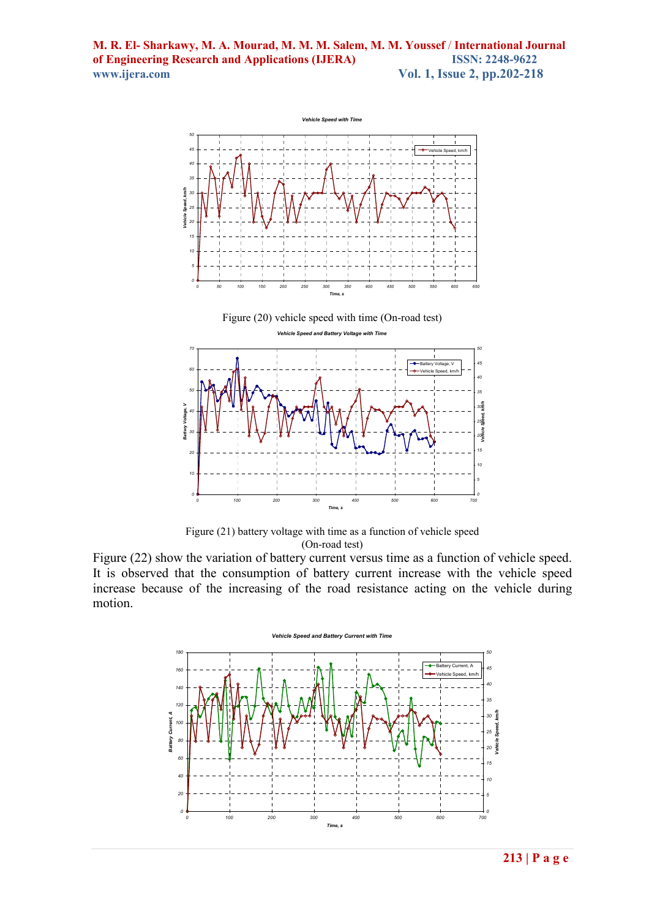

Figure (21) battery voltage with time as a function of vehicle speed (On-road test)

*0 100 200 300 400 500 600 700 Time, s*

Figure (22) show the variation of battery current versus time as a function of vehicle speed. It is observed that the consumption of battery current increase with the vehicle speed increase because of the increasing of the road resistance acting on the vehicle during motion.

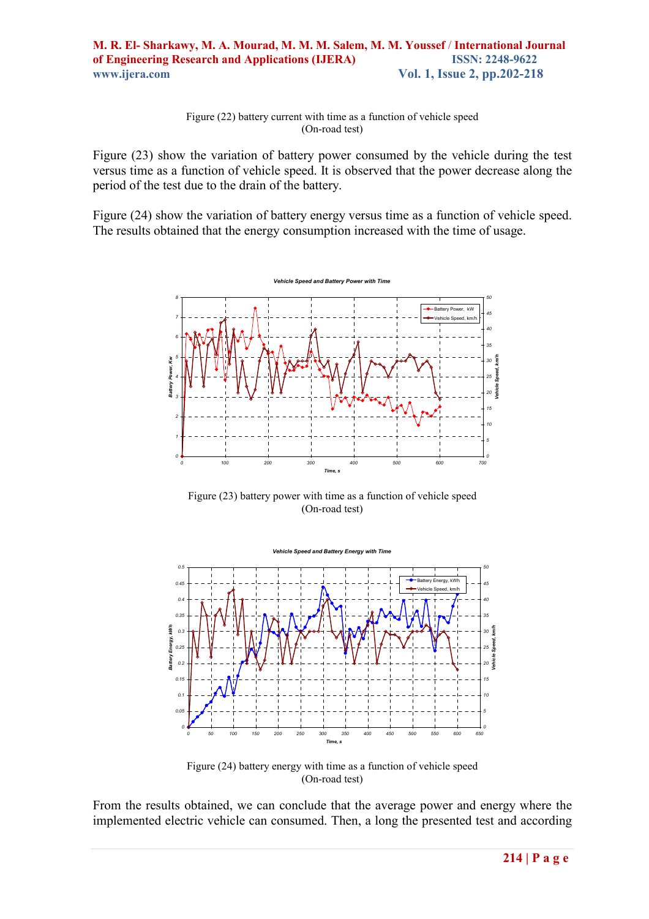Figure (22) battery current with time as a function of vehicle speed (On-road test)

Figure (23) show the variation of battery power consumed by the vehicle during the test versus time as a function of vehicle speed. It is observed that the power decrease along the period of the test due to the drain of the battery.

Figure (24) show the variation of battery energy versus time as a function of vehicle speed. The results obtained that the energy consumption increased with the time of usage.



Figure (23) battery power with time as a function of vehicle speed (On-road test)



Figure (24) battery energy with time as a function of vehicle speed (On-road test)

From the results obtained, we can conclude that the average power and energy where the implemented electric vehicle can consumed. Then, a long the presented test and according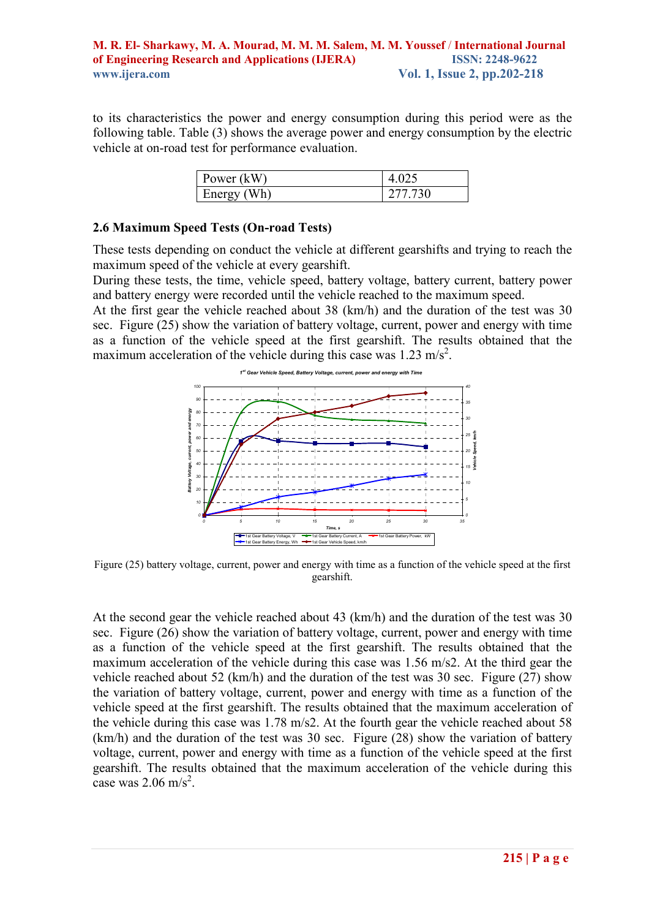to its characteristics the power and energy consumption during this period were as the following table. Table (3) shows the average power and energy consumption by the electric vehicle at on-road test for performance evaluation.

| Power (kW)    |         |
|---------------|---------|
| Wh)<br>Energy | 277.730 |

## **2.6 Maximum Speed Tests (On-road Tests)**

These tests depending on conduct the vehicle at different gearshifts and trying to reach the maximum speed of the vehicle at every gearshift.

During these tests, the time, vehicle speed, battery voltage, battery current, battery power and battery energy were recorded until the vehicle reached to the maximum speed.

At the first gear the vehicle reached about 38 (km/h) and the duration of the test was 30 sec. Figure (25) show the variation of battery voltage, current, power and energy with time as a function of the vehicle speed at the first gearshift. The results obtained that the maximum acceleration of the vehicle during this case was  $1.23 \text{ m/s}^2$ .



Figure (25) battery voltage, current, power and energy with time as a function of the vehicle speed at the first gearshift.

At the second gear the vehicle reached about 43 (km/h) and the duration of the test was 30 sec. Figure (26) show the variation of battery voltage, current, power and energy with time as a function of the vehicle speed at the first gearshift. The results obtained that the maximum acceleration of the vehicle during this case was 1.56 m/s2. At the third gear the vehicle reached about 52 (km/h) and the duration of the test was 30 sec. Figure (27) show the variation of battery voltage, current, power and energy with time as a function of the vehicle speed at the first gearshift. The results obtained that the maximum acceleration of the vehicle during this case was 1.78 m/s2. At the fourth gear the vehicle reached about 58 (km/h) and the duration of the test was 30 sec. Figure (28) show the variation of battery voltage, current, power and energy with time as a function of the vehicle speed at the first gearshift. The results obtained that the maximum acceleration of the vehicle during this case was  $2.06 \text{ m/s}^2$ .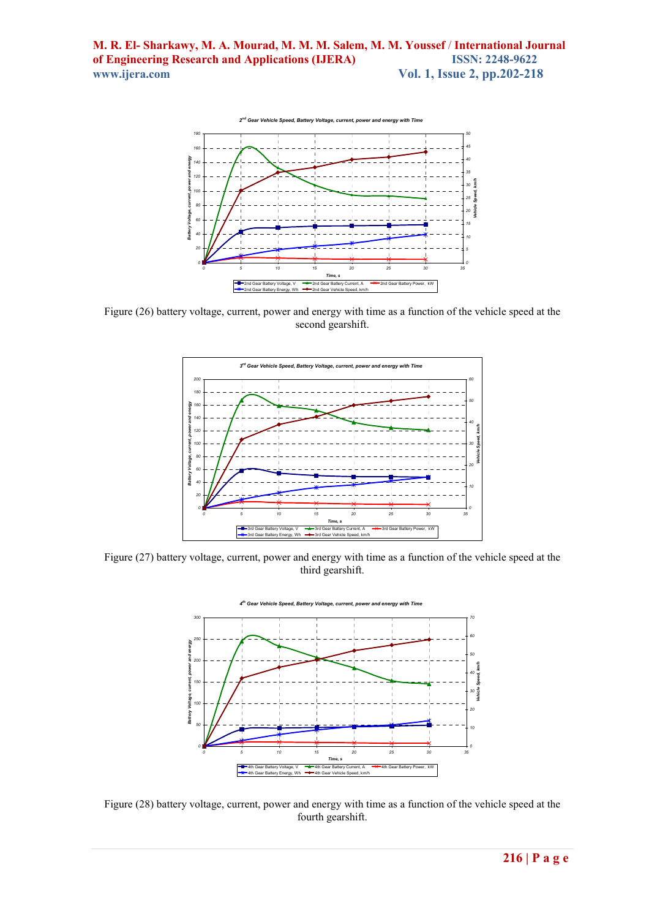

Figure (26) battery voltage, current, power and energy with time as a function of the vehicle speed at the second gearshift.



Figure (27) battery voltage, current, power and energy with time as a function of the vehicle speed at the third gearshift.



Figure (28) battery voltage, current, power and energy with time as a function of the vehicle speed at the fourth gearshift.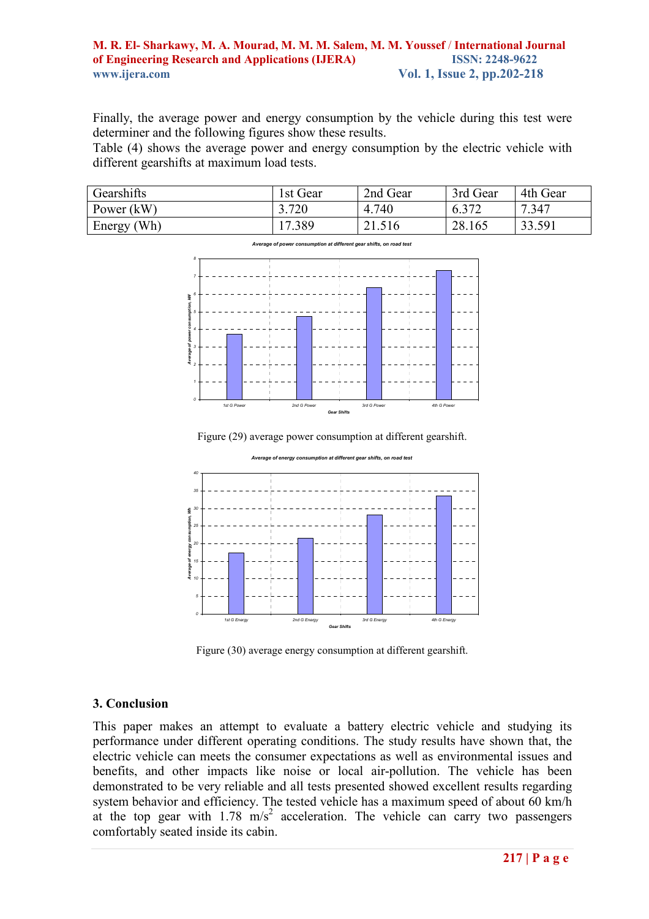Finally, the average power and energy consumption by the vehicle during this test were determiner and the following figures show these results.

Table (4) shows the average power and energy consumption by the electric vehicle with different gearshifts at maximum load tests.

| <b>Gearshifts</b> | i st Gear                        | 2nd Gear | 3rd Gear | 4th Gear |
|-------------------|----------------------------------|----------|----------|----------|
| Power $(kW)$      | 3.720                            | 4.740    | 272      | .347     |
| Wh)<br>Energy     | .389<br>$\overline{\phantom{0}}$ | 21.516   | 28.165   | 33.591   |

*Average of power consumption at different gear shifts, on road test*



Figure (29) average power consumption at different gearshift.



*Average of energy consumption at different gear shifts, on road test*

Figure (30) average energy consumption at different gearshift.

#### **3. Conclusion**

This paper makes an attempt to evaluate a battery electric vehicle and studying its performance under different operating conditions. The study results have shown that, the electric vehicle can meets the consumer expectations as well as environmental issues and benefits, and other impacts like noise or local air-pollution. The vehicle has been demonstrated to be very reliable and all tests presented showed excellent results regarding system behavior and efficiency. The tested vehicle has a maximum speed of about 60 km/h at the top gear with  $1.78 \text{ m/s}^2$  acceleration. The vehicle can carry two passengers comfortably seated inside its cabin.